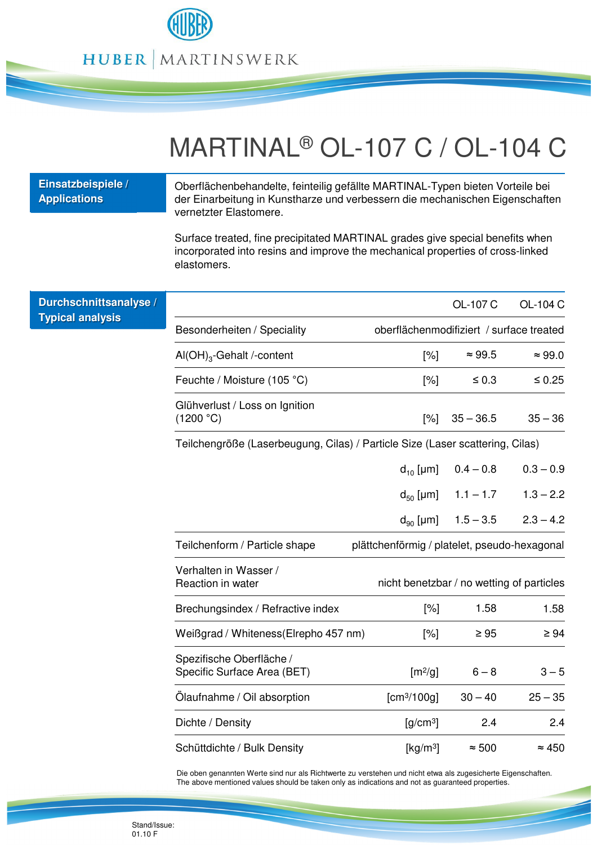

## MARTINAL® OL-107 C / OL-104 C

| Einsatzbeispiele /<br><b>Applications</b> | Oberflächenbehandelte, feinteilig gefällte MARTINAL-Typen bieten Vorteile bei<br>der Einarbeitung in Kunstharze und verbessern die mechanischen Eigenschaften<br>vernetzter Elastomere. |                                              |                |                |  |
|-------------------------------------------|-----------------------------------------------------------------------------------------------------------------------------------------------------------------------------------------|----------------------------------------------|----------------|----------------|--|
|                                           | Surface treated, fine precipitated MARTINAL grades give special benefits when<br>incorporated into resins and improve the mechanical properties of cross-linked<br>elastomers.          |                                              |                |                |  |
| Durchschnittsanalyse /                    |                                                                                                                                                                                         |                                              | OL-107 C       | OL-104 C       |  |
| <b>Typical analysis</b>                   | Besonderheiten / Speciality                                                                                                                                                             | oberflächenmodifiziert / surface treated     |                |                |  |
|                                           | $AI(OH)_{3}$ -Gehalt /-content                                                                                                                                                          | $ \% $                                       | $\approx 99.5$ | $\approx 99.0$ |  |
|                                           | Feuchte / Moisture (105 °C)                                                                                                                                                             | $[\%]$                                       | $\leq 0.3$     | $\leq 0.25$    |  |
|                                           | Glühverlust / Loss on Ignition<br>(1200 °C)                                                                                                                                             | $[\%]$                                       | $35 - 36.5$    | $35 - 36$      |  |
|                                           | Teilchengröße (Laserbeugung, Cilas) / Particle Size (Laser scattering, Cilas)                                                                                                           |                                              |                |                |  |
|                                           |                                                                                                                                                                                         | $d_{10}$ [µm]                                | $0.4 - 0.8$    | $0.3 - 0.9$    |  |
|                                           |                                                                                                                                                                                         | $d_{50}$ [µm]                                | $1.1 - 1.7$    | $1.3 - 2.2$    |  |
|                                           |                                                                                                                                                                                         | $d_{90}$ [µm]                                | $1.5 - 3.5$    | $2.3 - 4.2$    |  |
|                                           | Teilchenform / Particle shape                                                                                                                                                           | plättchenförmig / platelet, pseudo-hexagonal |                |                |  |
|                                           | Verhalten in Wasser /<br>Reaction in water                                                                                                                                              | nicht benetzbar / no wetting of particles    |                |                |  |
|                                           | Brechungsindex / Refractive index                                                                                                                                                       | $[\%]$                                       | 1.58           | 1.58           |  |
|                                           | Weißgrad / Whiteness (Elrepho 457 nm)                                                                                                                                                   | $[\%]$                                       | $\geq 95$      | $\geq 94$      |  |
|                                           | Spezifische Oberfläche /<br>Specific Surface Area (BET)                                                                                                                                 | $\left[\frac{m^2}{g}\right]$                 | $6 - 8$        | $3 - 5$        |  |
|                                           | Ölaufnahme / Oil absorption                                                                                                                                                             | [cm <sup>3</sup> /100g]                      | $30 - 40$      | $25 - 35$      |  |
|                                           | Dichte / Density                                                                                                                                                                        | $[g/cm^3]$                                   | 2.4            | 2.4            |  |
|                                           | Schüttdichte / Bulk Density                                                                                                                                                             | $\left[\frac{\text{kg}}{\text{m}^3}\right]$  | $\approx 500$  | $\approx 450$  |  |

Die oben genannten Werte sind nur als Richtwerte zu verstehen und nicht etwa als zugesicherte Eigenschaften. The above mentioned values should be taken only as indications and not as guaranteed properties.